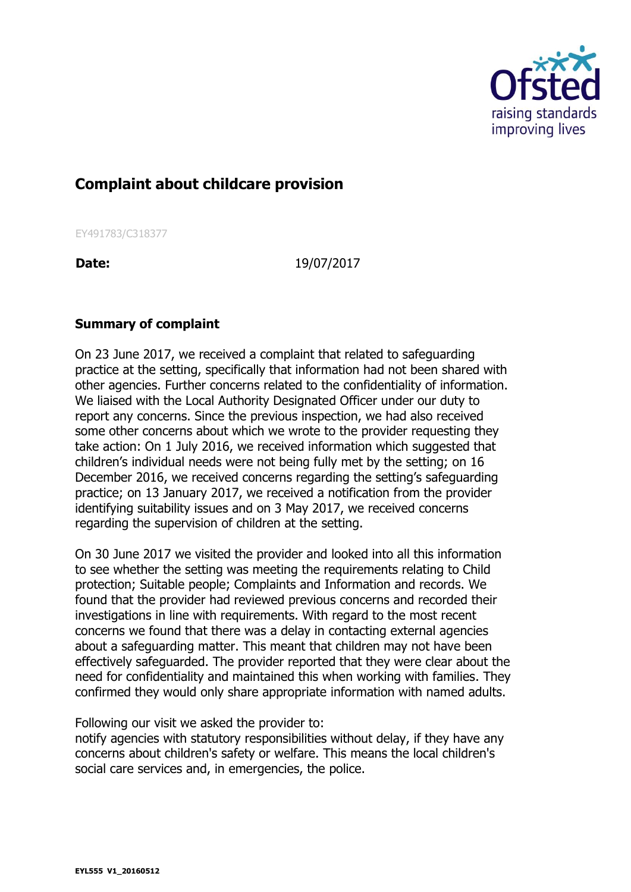

## **Complaint about childcare provision**

EY491783/C318377

**Date:** 19/07/2017

## **Summary of complaint**

On 23 June 2017, we received a complaint that related to safeguarding practice at the setting, specifically that information had not been shared with other agencies. Further concerns related to the confidentiality of information. We liaised with the Local Authority Designated Officer under our duty to report any concerns. Since the previous inspection, we had also received some other concerns about which we wrote to the provider requesting they take action: On 1 July 2016, we received information which suggested that children's individual needs were not being fully met by the setting; on 16 December 2016, we received concerns regarding the setting's safeguarding practice; on 13 January 2017, we received a notification from the provider identifying suitability issues and on 3 May 2017, we received concerns regarding the supervision of children at the setting.

On 30 June 2017 we visited the provider and looked into all this information to see whether the setting was meeting the requirements relating to Child protection; Suitable people; Complaints and Information and records. We found that the provider had reviewed previous concerns and recorded their investigations in line with requirements. With regard to the most recent concerns we found that there was a delay in contacting external agencies about a safeguarding matter. This meant that children may not have been effectively safeguarded. The provider reported that they were clear about the need for confidentiality and maintained this when working with families. They confirmed they would only share appropriate information with named adults.

Following our visit we asked the provider to:

notify agencies with statutory responsibilities without delay, if they have any concerns about children's safety or welfare. This means the local children's social care services and, in emergencies, the police.